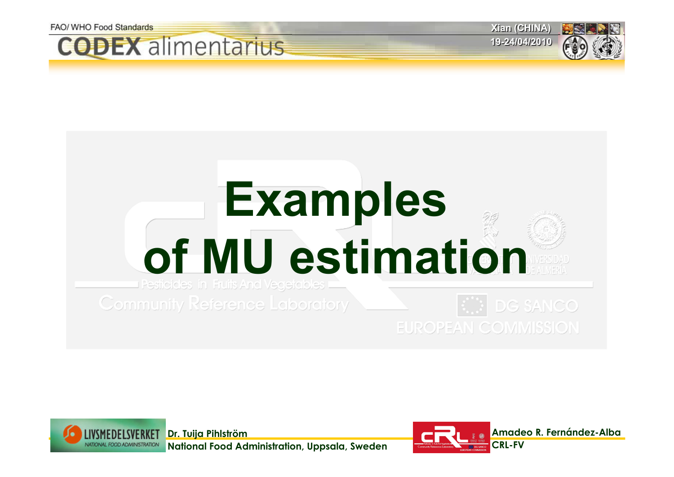









**EUROPEAN COMMISSION** 



**National Food Administration, Uppsala, Sweden**

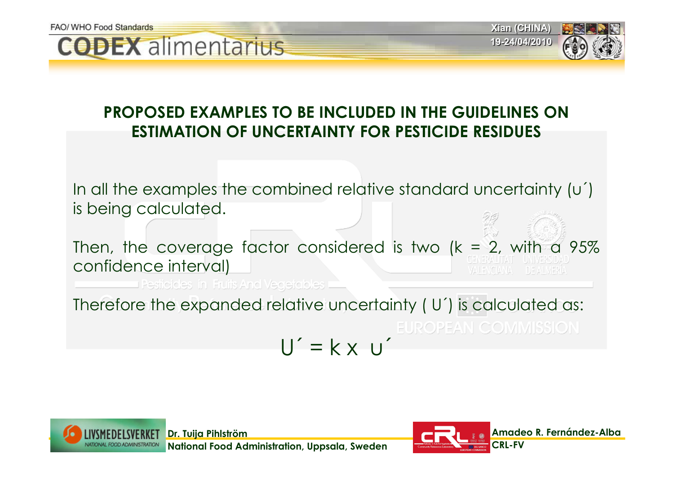



In all the examples the combined relative standard uncertainty (u´) is being calculated.

Then, the coverage factor considered is two  $(k = 2)$ , with a 95% confidence interval)

**Pesticides in Fruits And Vegetables** 

Therefore the expanded relative uncertainty ( U´) is calculated as: EUROPEAN COMMISSION  $U' = k \times U'$ 





**Xian (CHINA) Xian (CHINA) 19-24/04/2010 19-24/04/2010**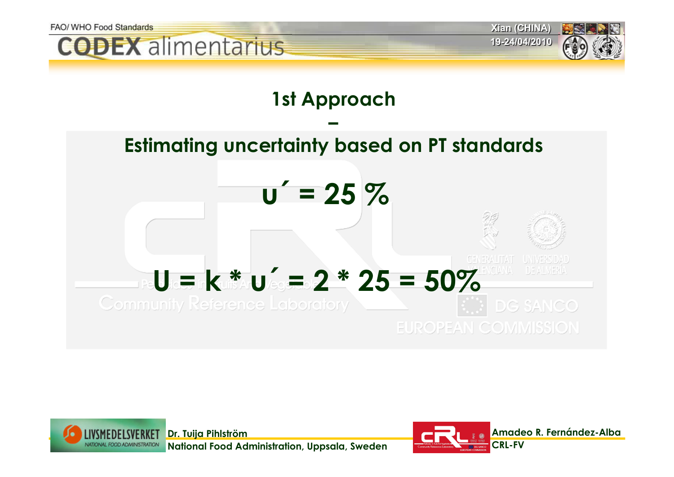



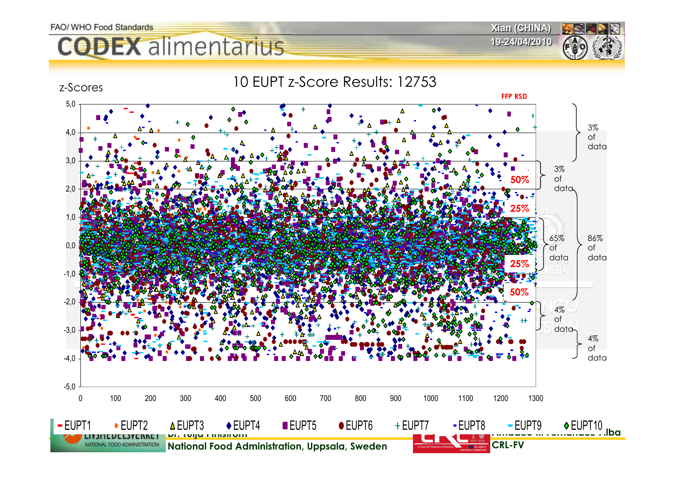**CODEX** alimentarius

10 EUPT z-Score Results: 12753 z-Scores **FFP RSD**5,0 3% 4,0 of data 3,0 3% of **50%**2,0 data **25%**1 0 65% 86% 0,0 of of data data **25%**-1,0 **50%**-2,0 4% of -3,0 data 4% of -4,0 data -5,0 0 100 200 300 400 500 600 700 800 900 1000 1100 1200 1300**- EUPT9 ◆ EUPT10**  $-$ FUPT1 EUPT2 EUPT3 EUPT4 EUPT5 EUPT6 EUPT7 EUPT8 EUPT9 EUPT10.lba **Dr. Tuija Pihlström** ENSTELLES NATIONAL FOOD ADMINISTRATION **National Food Administration, Uppsala, Sweden CRL-FV**

**Xian (CHINA) Xian (CHINA) 19-24/04/2010 19-24/04/2010**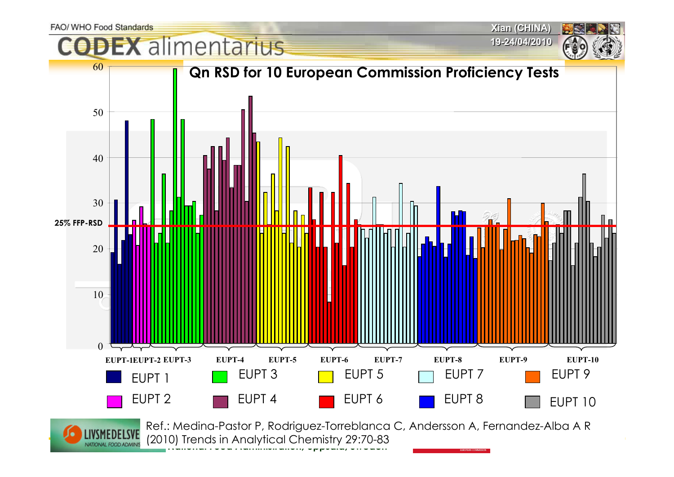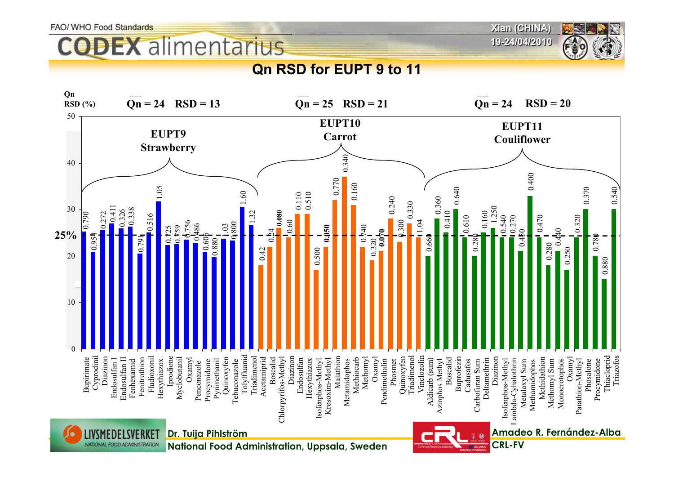**Xian (CHINA) Xian (CHINA)**

### **DEX** alimentarius

**19-24/04/2010 19-24/04/2010**

### **Qn RSD for EUPT 9 to 11**

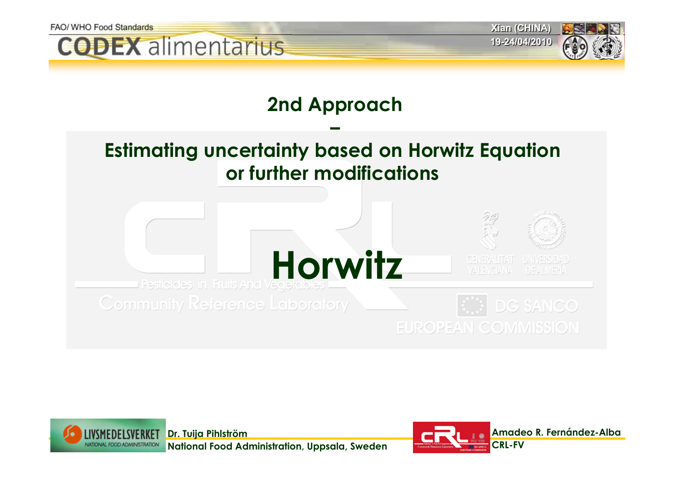



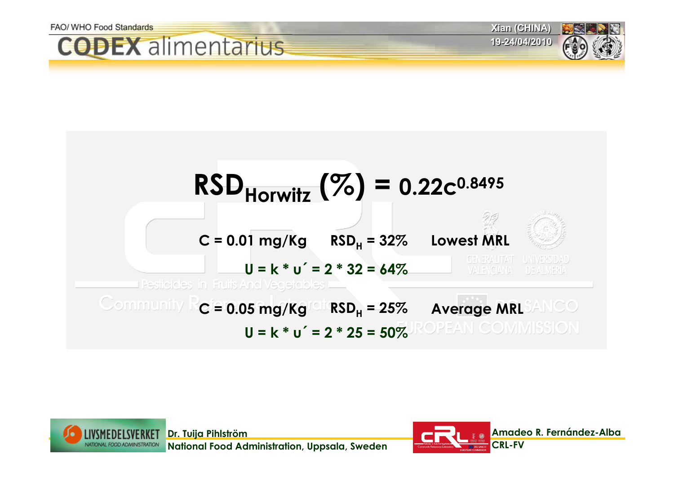





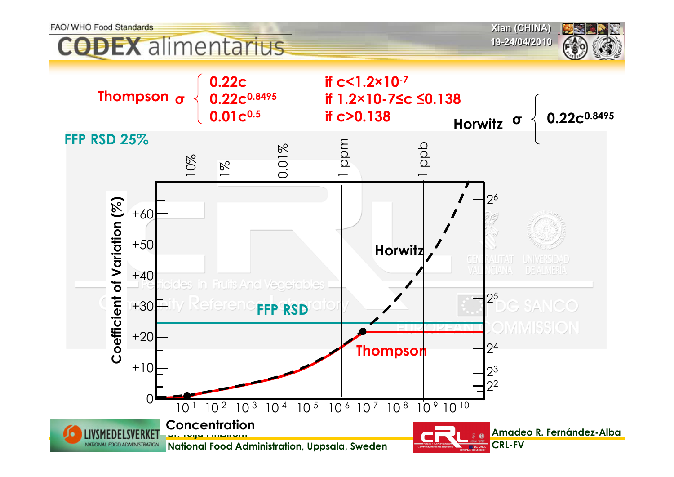**ODEX** alimentarius

**Xian (CHINA) Xian (CHINA)**

**19-24/04/2010 19-24/04/2010**



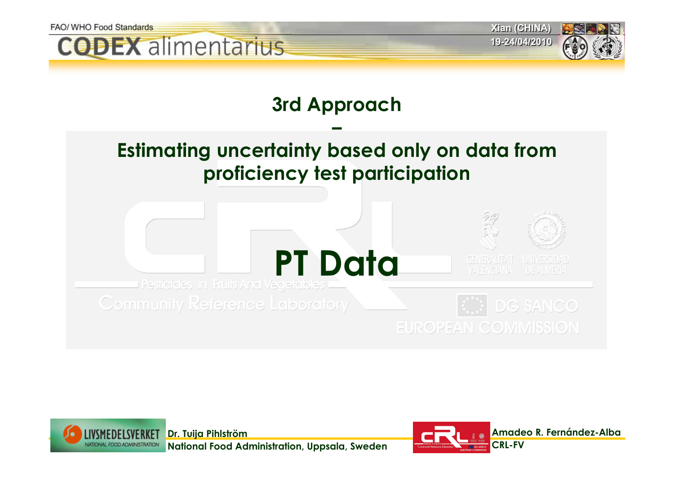



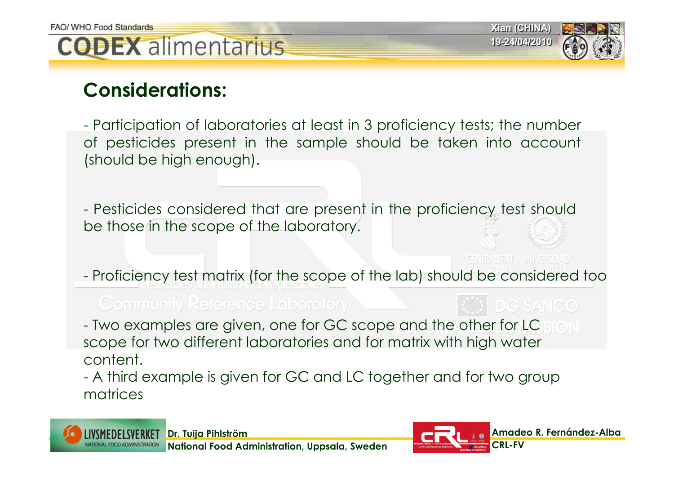**Xian (CHINA) Xian (CHINA) 19-24/04/2010 19-24/04/2010**



### **Considerations:**

- Participation of laboratories at least in 3 proficiency tests; the number of pesticides present in the sample should be taken into account (should be high enough).

- Pesticides considered that are present in the proficiency test should be those in the scope of the laboratory.

GENERALITAT UNIVERSIDAD

Proficiency test matrix (for the scope of the lab) should be considered too

**Community Reference Laboratory** 

DG SANCO Two examples are given, one for GC scope and the other for LC scope for two different laboratories and for matrix with high water

content.

 A third example is given for GC and LC together and for two group matrices

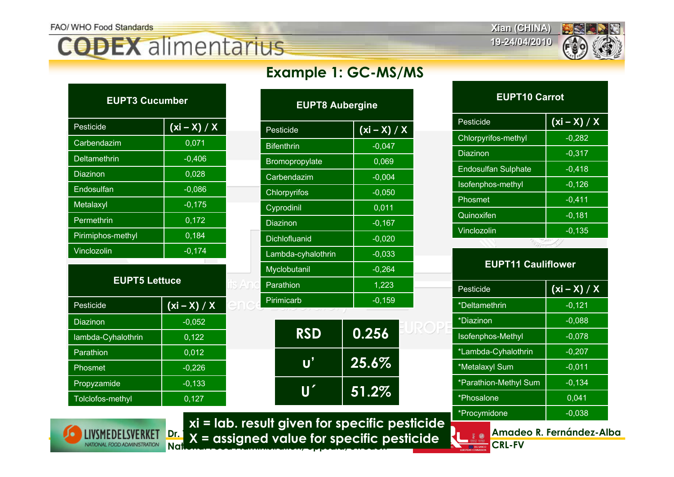**Xian (CHINA) Xian (CHINA)**

**19-24/04/2010 19-24/04/2010**



| <b>EUPT3 Cucumber</b> |                |
|-----------------------|----------------|
| Pesticide             | $(xi - X) / X$ |
| Carbendazim           | 0,071          |
| <b>Deltamethrin</b>   | $-0,406$       |
| Diazinon              | 0,028          |
| Endosulfan            | $-0,086$       |
| Metalaxyl             | $-0,175$       |
| Permethrin            | 0,172          |
| Pirimiphos-methyl     | 0,184          |
| Vinclozolin           | $-0,174$       |
|                       |                |

| <b>EUPT5 Lettuce</b> |                |  |
|----------------------|----------------|--|
| Pesticide            | $(xi - X) / X$ |  |
| Diazinon             | $-0,052$       |  |
| lambda-Cyhalothrin   | 0,122          |  |
| Parathion            | 0,012          |  |
| Phosmet              | $-0,226$       |  |
| Propyzamide          | $-0,133$       |  |
| Tolclofos-methyl     | 0.127          |  |

### **Example 1: GC-MS/MS**

| <b>EUPT8 Aubergine</b> |                     |
|------------------------|---------------------|
| Pesticide              | <u>(xi – X) / X</u> |
| <b>Bifenthrin</b>      | $-0,047$            |
| Bromopropylate         | 0,069               |
| Carbendazim            | $-0,004$            |
| Chlorpyrifos           | $-0,050$            |
| Cyprodinil             | 0,011               |
| <b>Diazinon</b>        | $-0,167$            |
| <b>Dichlofluanid</b>   | $-0,020$            |
| Lambda-cyhalothrin     | $-0,033$            |
| Myclobutanil           | $-0,264$            |
| Parathion              | 1,223               |
| Pirimicarb             | $-0,159$            |
|                        |                     |
| RSD                    | 0.256               |
|                        | $25.6\%$            |
|                        | 51.29               |

### Pesticide $(xi - X) / X$ Vinclozolin -0,135 Quinoxifen -0,181 Phosmet -0,411  $Isofenphos-methyl$   $|$  -0,126 Endosulfan Sulphate | -0,418 Diazinon -0,317 Chlorpyrifos-methyl | -0,282 **EUPT10 Carrot**

### **EUPT11 Cauliflower**

| Pesticide                | $(xi - X) / X$ |
|--------------------------|----------------|
| *Deltamethrin            | $-0,121$       |
| *Diazinon                | $-0.088$       |
| <b>Isofenphos-Methyl</b> | $-0.078$       |
| *Lambda-Cyhalothrin      | $-0.207$       |
| *Metalaxyl Sum           | $-0.011$       |
| *Parathion-Methyl Sum    | $-0.134$       |
| *Phosalone               | 0,041          |
| *Procymidone             | $-0.038$       |



**Dr. Tuija Pihlström National Food Administration, Uppsala, Sweden X = assigned value for specific pesticide xi = lab. result given for specific pesticide**



**Amadeo R. Fernández-Alba CRL-FV**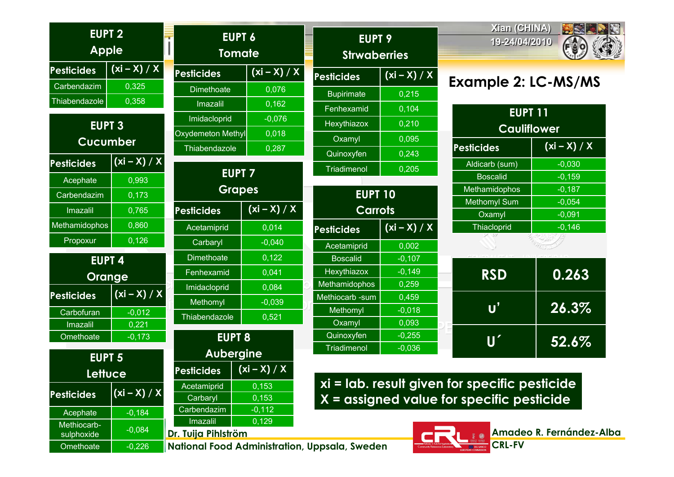| <b>EUPT 2</b><br><b>Apple</b> |                 | <b>EUPT 6</b><br><b>Tomate</b> |                | <b>EUPT 9</b><br><b>Strwaberries</b>          |                | Xian (CHINA)<br>19-24/04/2010                 | SSS                      |
|-------------------------------|-----------------|--------------------------------|----------------|-----------------------------------------------|----------------|-----------------------------------------------|--------------------------|
| <b>Pesticides</b>             | $(xi - X) / X$  | <b>Pesticides</b>              | $(xi - X) / X$ | <b>Pesticides</b>                             | $(xi - X) / X$ |                                               |                          |
| Carbendazim                   | 0,325           | <b>Dimethoate</b>              | 0,076          | <b>Bupirimate</b>                             | 0,215          | <b>Example 2: LC-MS/MS</b>                    |                          |
| Thiabendazole                 | 0,358           | Imazalil                       | 0,162          | Fenhexamid                                    | 0,104          |                                               |                          |
|                               |                 | Imidacloprid                   | $-0,076$       |                                               |                | <b>EUPT 11</b>                                |                          |
| <b>EUPT 3</b>                 |                 | Oxydemeton Methyl              | 0,018          | Hexythiazox                                   | 0,210          | <b>Cauliflower</b>                            |                          |
|                               | <b>Cucumber</b> | Thiabendazole                  | 0,287          | Oxamyl                                        | 0,095          | <b>Pesticides</b>                             | $(xi - X) / X$           |
| <b>Pesticides</b>             | $(xi - X) / X$  |                                |                | Quinoxyfen                                    | 0,243          |                                               |                          |
|                               |                 |                                | <b>EUPT 7</b>  | Triadimenol                                   | 0,205          | Aldicarb (sum)<br><b>Boscalid</b>             | $-0,030$<br>$-0,159$     |
| Acephate                      | 0,993           |                                | <b>Grapes</b>  |                                               |                | Methamidophos                                 | $-0,187$                 |
| Carbendazim                   | 0,173           |                                |                | <b>EUPT 10</b>                                |                | <b>Methomyl Sum</b>                           | $-0,054$                 |
| <b>Imazalil</b>               | 0,765           | <b>Pesticides</b>              | $(xi - x)/x$   | <b>Carrots</b>                                |                | Oxamyl                                        | $-0,091$                 |
| <b>Methamidophos</b>          | 0,860           | Acetamiprid                    | 0,014          | <b>Pesticides</b>                             | $(xi - X) / X$ | Thiacloprid                                   | $-0,146$                 |
| Propoxur                      | 0,126           | Carbaryl                       | $-0,040$       | Acetamiprid                                   | 0,002          |                                               |                          |
|                               | <b>EUPT 4</b>   | <b>Dimethoate</b>              | 0,122          | <b>Boscalid</b>                               | $-0,107$       |                                               |                          |
|                               |                 | Fenhexamid                     | 0,041          | Hexythiazox                                   | $-0,149$       | <b>RSD</b>                                    | 0.263                    |
|                               | Orange          | Imidacloprid                   | 0,084          | Methamidophos                                 | 0,259          |                                               |                          |
| <b>Pesticides</b>             | $(xi - X) / X$  | Methomyl                       | $-0,039$       | Methiocarb - sum                              | 0,459          |                                               |                          |
| Carbofuran                    | $-0,012$        |                                |                | Methomyl                                      | $-0,018$       | $\mathsf{U}^{\prime}$                         | 26.3%                    |
| Imazalil                      | 0,221           | Thiabendazole                  | 0,521          | Oxamyl                                        | 0,093          |                                               |                          |
| Omethoate                     | $-0,173$        | <b>EUPT 8</b>                  |                | Quinoxyfen                                    | $-0,255$       | $\boldsymbol{\mathsf{U}}'$                    | 52.6%                    |
| <b>EUPT 5</b>                 |                 | <b>Aubergine</b>               |                | <b>Triadimenol</b>                            | $-0,036$       |                                               |                          |
|                               | Lettuce         | <b>Pesticides</b>              | $(xi - X) / X$ |                                               |                |                                               |                          |
|                               |                 | Acetamiprid                    | 0,153          |                                               |                | xi = lab. result given for specific pesticide |                          |
| <b>Pesticides</b>             | $(xi - X) / X$  | Carbaryl                       | 0,153          |                                               |                | $X =$ assigned value for specific pesticide   |                          |
| Acephate                      | $-0,184$        | Carbendazim                    | $-0,112$       |                                               |                |                                               |                          |
| Methiocarb-                   |                 | Imazalil                       | 0,129          |                                               |                |                                               |                          |
| sulphoxide                    | $-0,084$        | Dr. Tuija Pihlström            |                |                                               |                |                                               | Amadeo R. Fernández-Alba |
| Omethoate                     | $-0,226$        |                                |                | National Food Administration, Uppsala, Sweden |                | <b>CRL-FV</b>                                 |                          |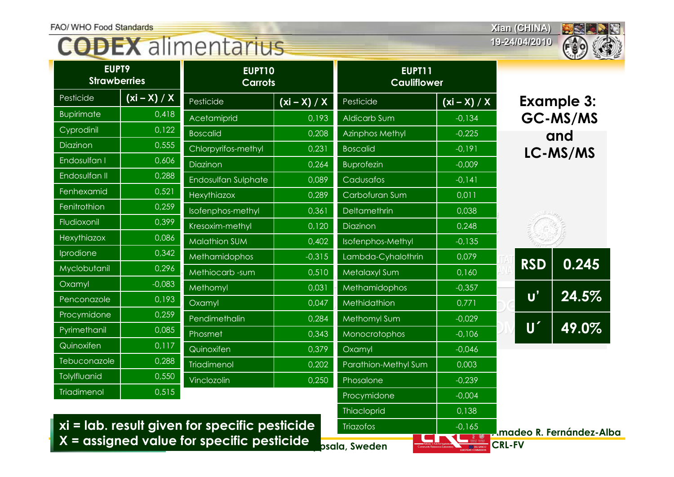**19-24/04/2010 19-24/04/2010**



| EUPT9<br><b>Strawberries</b> |                | EUPT10<br><b>Carrots</b> |                | EUPT11<br><b>Cauliflower</b> |                |                            | $\sim$ $\sim$     |
|------------------------------|----------------|--------------------------|----------------|------------------------------|----------------|----------------------------|-------------------|
| Pesticide                    | $(xi - X) / X$ | Pesticide                | $(xi - X) / X$ | Pesticide                    | $(xi - X) / X$ |                            | <b>Example 3:</b> |
| <b>Bupirimate</b>            | 0,418          | Acetamiprid              | 0,193          | Aldicarb Sum                 | $-0,134$       |                            | GC-MS/MS          |
| Cyprodinil                   | 0,122          | <b>Boscalid</b>          | 0,208          | <b>Azinphos Methyl</b>       | $-0,225$       |                            | and               |
| Diazinon                     | 0,555          | Chlorpyrifos-methyl      | 0,231          | <b>Boscalid</b>              | $-0,191$       |                            | LC-MS/MS          |
| Endosulfan I                 | 0,606          | Diazinon                 | 0,264          | <b>Buprofezin</b>            | $-0.009$       |                            |                   |
| Endosulfan II                | 0,288          | Endosulfan Sulphate      | 0,089          | Cadusafos                    | $-0,141$       |                            |                   |
| Fenhexamid                   | 0,521          | Hexythiazox              | 0,289          | Carbofuran Sum               | 0,011          |                            |                   |
| Fenitrothion                 | 0,259          | Isofenphos-methyl        | 0,361          | Deltamethrin                 | 0,038          |                            |                   |
| Fludioxonil                  | 0,399          | Kresoxim-methyl          | 0,120          | Diazinon                     | 0,248          |                            |                   |
| Hexythiazox                  | 0,086          | <b>Malathion SUM</b>     | 0,402          | Isofenphos-Methyl            | $-0,135$       |                            |                   |
| Iprodione                    | 0,342          | <b>Methamidophos</b>     | $-0,315$       | Lambda-Cyhalothrin           | 0,079          |                            | 0.245             |
| Myclobutanil                 | 0,296          | Methiocarb-sum           | 0,510          | Metalaxyl Sum                | 0,160          | <b>RSD</b>                 |                   |
| Oxamyl                       | $-0,083$       | Methomyl                 | 0,031          | Methamidophos                | $-0,357$       |                            |                   |
| Penconazole                  | 0,193          | Oxamyl                   | 0,047          | Methidathion                 | 0,771          | $\mathbf{U}'$              | 24.5%             |
| Procymidone                  | 0,259          | Pendimethalin            | 0,284          | Methomyl Sum                 | $-0.029$       |                            |                   |
| Pyrimethanil                 | 0,085          | Phosmet                  | 0,343          | Monocrotophos                | $-0,106$       | $\boldsymbol{\mathsf{U}}'$ | 49.0%             |
| Quinoxifen                   | 0,117          | Quinoxifen               | 0,379          | Oxamyl                       | $-0.046$       |                            |                   |
| Tebuconazole                 | 0,288          | Triadimenol              | 0,202          | Parathion-Methyl Sum         | 0,003          |                            |                   |
| Tolylfluanid                 | 0,550          | Vinclozolin              | 0,250          | Phosalone                    | $-0,239$       |                            |                   |
| <b>Triadimenol</b>           | 0,515          |                          |                | Procymidone                  | $-0,004$       |                            |                   |

**Dr. Tuija Pihlström**  $\boldsymbol{\mathsf{X}}$  = assigned value for specific pesticide  $\boldsymbol{\mathsf{P}}_{\mathsf{psala}, \mathsf{Sweden}}$ **xi = lab. result given for specific pesticide**

**Triazofos** 

Thiacloprid 10,138

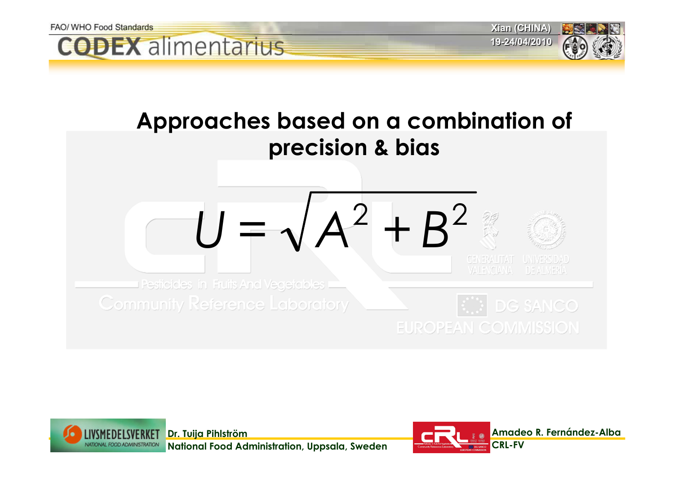

Pesiicides in Fruits And Vegetables ( **Community Reference Laboratory** 

 $\bigcirc$  DG SANCO **EUROPEAN COMMISSION** 



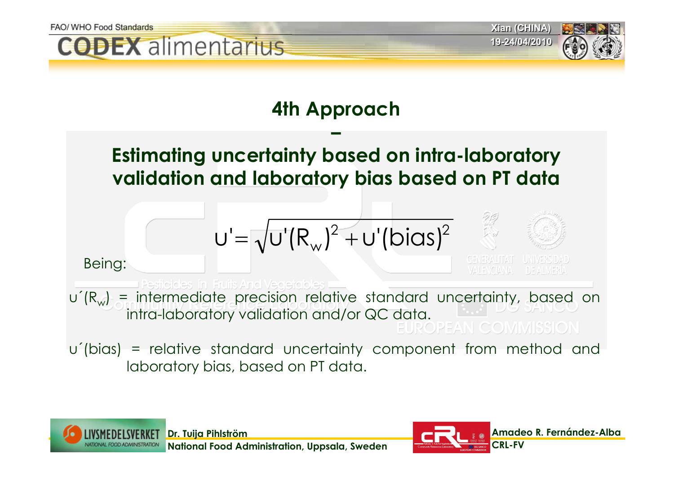

**Dr. Tuija Pihlström National Food Administration, Uppsala, Sweden**

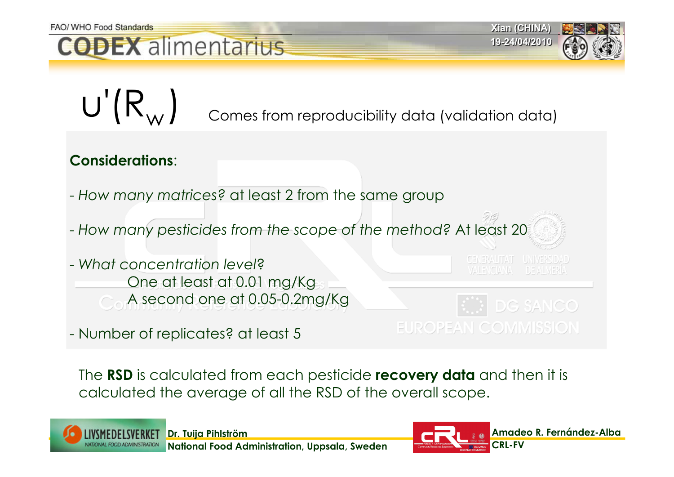

**Xian (CHINA) Xian (CHINA) 19-24/04/2010 19-24/04/2010**



 $U'(R_{W})$ Comes from reproducibility data (validation data)

### **Considerations**:

- *How many matrices?* at least 2 from the same group
- *How many pesticides from the scope of the method?* At least 20
- *What concentration level*? One at least at 0.01 mg/Kg A second one at 0.05-0.2mg/Kg
- Number of replicates? at least 5

**GENERALITAT UNIVERSIDA** 



The **RSD** is calculated from each pesticide **recovery data** and then it is calculated the average of all the RSD of the overall scope.



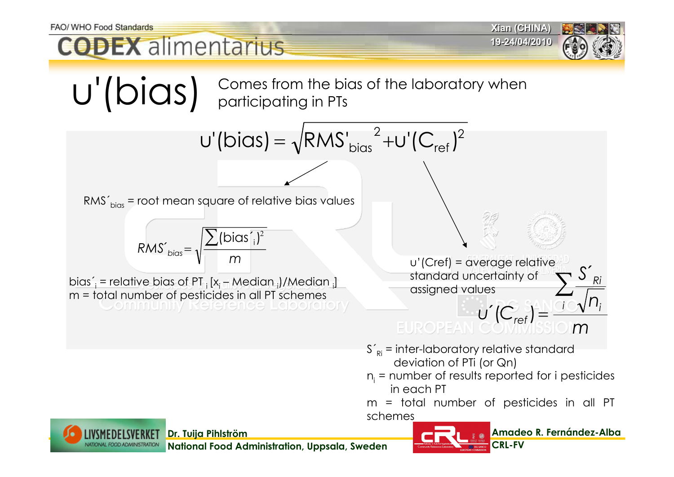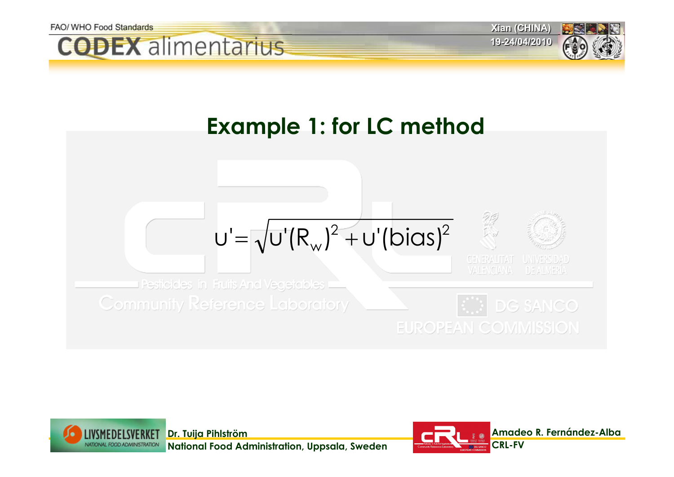



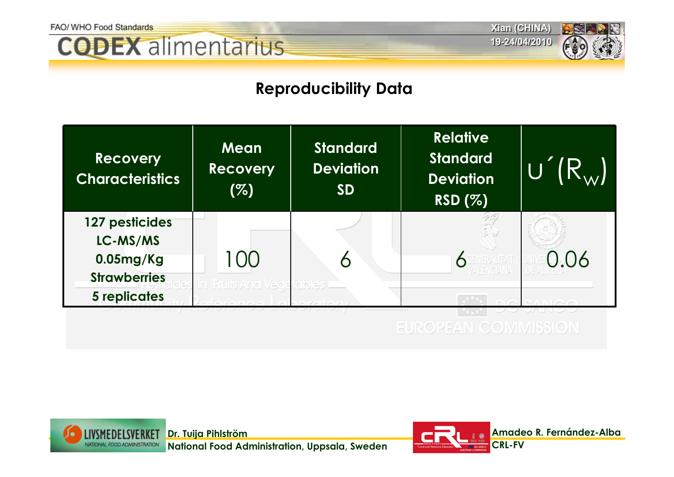



### **Reproducibility Data**



**EUROPEAN COMMISSION** 



**National Food Administration, Uppsala, Sweden**

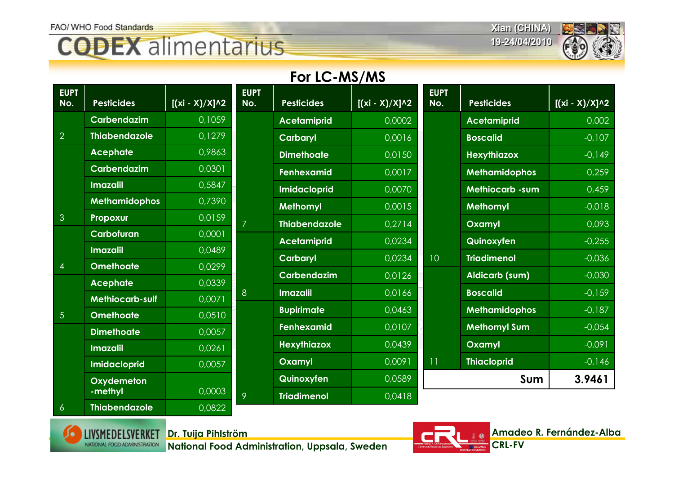## **CODEX** alimentarius

**Xian (CHINA) Xian (CHINA)**

**19-24/04/2010 19-24/04/2010**



### **For LC-MS/MS**

| <b>EUPT</b><br>No. | <b>Pesticides</b>                   | $[(xi - X)/X]^{1/2}]$ | <b>EUPT</b><br>No. | <b>Pesticides</b>    | $[(xi - X)/X]^{1/2}$ | <b>EUPT</b><br>No. | <b>Pesticides</b>      | $[(xi - X)/X]^{2}$ |
|--------------------|-------------------------------------|-----------------------|--------------------|----------------------|----------------------|--------------------|------------------------|--------------------|
|                    | Carbendazim                         | 0,1059                |                    | <b>Acetamiprid</b>   | 0,0002               |                    | <b>Acetamiprid</b>     | 0,002              |
| $\overline{2}$     | <b>Thiabendazole</b>                | 0,1279                |                    | <b>Carbaryl</b>      | 0,0016               |                    | <b>Boscalid</b>        | $-0,107$           |
|                    | <b>Acephate</b>                     | 0,9863                |                    | <b>Dimethoate</b>    | 0,0150               |                    | <b>Hexythiazox</b>     | $-0,149$           |
|                    | <b>Carbendazim</b>                  | 0,0301                |                    | <b>Fenhexamid</b>    | 0,0017               |                    | <b>Methamidophos</b>   | 0,259              |
|                    | <b>Imazalil</b>                     | 0,5847                |                    | <b>Imidacloprid</b>  | 0,0070               |                    | <b>Methiocarb -sum</b> | 0,459              |
|                    | <b>Methamidophos</b>                | 0,7390                |                    | <b>Methomyl</b>      | 0,0015               |                    | <b>Methomyl</b>        | $-0,018$           |
| $\mathbf{3}$       | Propoxur                            | 0,0159                | $\overline{7}$     | <b>Thiabendazole</b> | 0,2714               |                    | Oxamyl                 | 0,093              |
|                    | Carbofuran                          | 0,0001                |                    | <b>Acetamiprid</b>   | 0,0234               |                    | Quinoxyfen             | $-0,255$           |
|                    | <b>Imazalil</b>                     | 0,0489                |                    | <b>Carbaryl</b>      | 0,0234               | 10                 | <b>Triadimenol</b>     | $-0,036$           |
| $\overline{4}$     | <b>Omethoate</b>                    | 0,0299                |                    | <b>Carbendazim</b>   | 0,0126               |                    | <b>Aldicarb (sum)</b>  | $-0,030$           |
|                    | <b>Acephate</b>                     | 0,0339                | 8                  | <b>Imazalil</b>      | 0,0166               |                    | <b>Boscalid</b>        | $-0,159$           |
| $\overline{5}$     | Methiocarb-sulf<br><b>Omethoate</b> | 0,0071<br>0,0510      |                    | <b>Bupirimate</b>    | 0,0463               |                    | <b>Methamidophos</b>   | $-0,187$           |
|                    | <b>Dimethoate</b>                   | 0,0057                |                    | <b>Fenhexamid</b>    | 0,0107               |                    | <b>Methomyl Sum</b>    | $-0,054$           |
|                    | <b>Imazalil</b>                     | 0,0261                |                    | <b>Hexythiazox</b>   | 0,0439               |                    | Oxamyl                 | $-0,091$           |
|                    | <b>Imidacloprid</b>                 | 0,0057                |                    | Oxamyl               | 0,0091               | 11                 | <b>Thiacloprid</b>     | $-0,146$           |
|                    | Oxydemeton                          |                       |                    | Quinoxyfen           | 0,0589               |                    | Sum                    | 3.9461             |
|                    | -methyl                             | 0,0003                | 9                  | <b>Triadimenol</b>   | 0,0418               |                    |                        |                    |
| $\overline{6}$     | <b>Thiabendazole</b>                | 0,0822                |                    |                      |                      |                    |                        |                    |



**Dr. Tuija Pihlström**

**National Food Administration, Uppsala, Sweden**

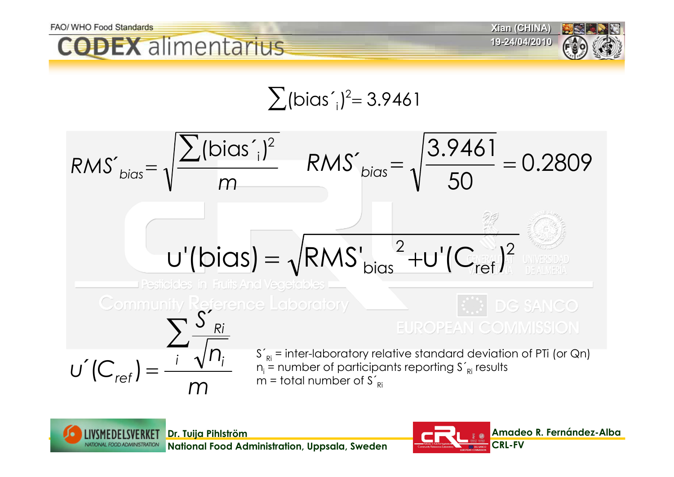





$$
\sum
$$
 (bias'<sub>i</sub>)<sup>2</sup> = 3.9461





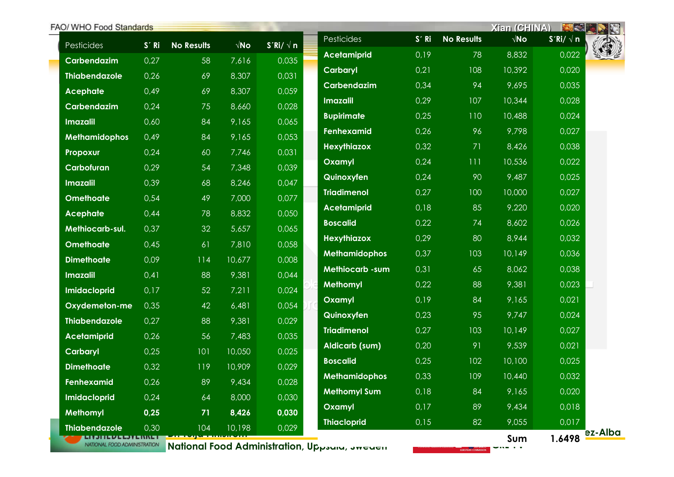| FAO/ WHO Food Standards                                      |         |                   |                      |                 |                                               |       |                     | Xian (CHINA)         | <b>BEE</b>      |         |
|--------------------------------------------------------------|---------|-------------------|----------------------|-----------------|-----------------------------------------------|-------|---------------------|----------------------|-----------------|---------|
| Pesticides                                                   | $S'$ Ri | <b>No Results</b> | $\sqrt{\mathsf{No}}$ | $S'Ri/\sqrt{n}$ | Pesticides                                    | S' Ri | <b>No Results</b>   | $\sqrt{\mathsf{No}}$ | $S'Ri/\sqrt{n}$ |         |
| Carbendazim                                                  | 0,27    | 58                | 7,616                | 0,035           | <b>Acetamiprid</b>                            | 0,19  | 78                  | 8,832                | 0,022           |         |
| <b>Thiabendazole</b>                                         | 0,26    | 69                | 8,307                | 0,031           | Carbaryl                                      | 0,21  | 108                 | 10,392               | 0,020           |         |
| <b>Acephate</b>                                              | 0,49    | 69                | 8,307                | 0,059           | Carbendazim                                   | 0,34  | 94                  | 9,695                | 0,035           |         |
| Carbendazim                                                  | 0,24    | 75                | 8,660                | 0,028           | <b>Imazalil</b>                               | 0,29  | 107                 | 10,344               | 0,028           |         |
| <b>Imazalil</b>                                              | 0,60    | 84                | 9,165                | 0,065           | <b>Bupirimate</b>                             | 0,25  | 110                 | 10,488               | 0,024           |         |
| <b>Methamidophos</b>                                         | 0,49    | 84                | 9,165                | 0,053           | Fenhexamid                                    | 0,26  | 96                  | 9,798                | 0,027           |         |
| Propoxur                                                     | 0,24    | 60                | 7,746                | 0,031           | <b>Hexythiazox</b>                            | 0,32  | 71                  | 8,426                | 0,038           |         |
| Carbofuran                                                   | 0,29    | 54                | 7,348                | 0,039           | Oxamyl                                        | 0,24  | 111                 | 10,536               | 0,022           |         |
| <b>Imazalil</b>                                              | 0,39    | 68                | 8,246                | 0,047           | Quinoxyfen                                    | 0,24  | 90                  | 9,487                | 0,025           |         |
| <b>Omethoate</b>                                             | 0,54    | 49                | 7,000                | 0,077           | <b>Triadimenol</b>                            | 0,27  | 100                 | 10,000               | 0,027           |         |
| <b>Acephate</b>                                              | 0,44    | 78                | 8,832                | 0,050           | <b>Acetamiprid</b>                            | 0,18  | 85                  | 9,220                | 0,020           |         |
| Methiocarb-sul.                                              | 0,37    | 32                | 5,657                | 0,065           | <b>Boscalid</b>                               | 0,22  | 74                  | 8,602                | 0,026           |         |
| <b>Omethoate</b>                                             | 0,45    | 61                | 7,810                | 0,058           | <b>Hexythiazox</b>                            | 0,29  | 80                  | 8,944                | 0,032           |         |
| <b>Dimethoate</b>                                            | 0,09    | 114               | 10,677               | 0,008           | <b>Methamidophos</b>                          | 0,37  | 103                 | 10,149               | 0,036           |         |
| <b>Imazalil</b>                                              | 0,41    | 88                | 9,381                | 0,044           | Methiocarb -sum                               | 0,31  | 65                  | 8,062                | 0,038           |         |
| <b>Imidacloprid</b>                                          | 0,17    | 52                | 7,211                | 0,024           | Methomyl                                      | 0,22  | 88                  | 9,381                | 0,023           |         |
| Oxydemeton-me                                                | 0,35    | 42                | 6,481                | 0,054           | Oxamyl                                        | 0,19  | 84                  | 9,165                | 0,021           |         |
| <b>Thiabendazole</b>                                         | 0,27    | 88                | 9,381                | 0,029           | Quinoxyfen                                    | 0,23  | 95                  | 9,747                | 0,024           |         |
| <b>Acetamiprid</b>                                           | 0,26    | 56                | 7,483                | 0,035           | <b>Triadimenol</b>                            | 0,27  | 103                 | 10,149               | 0,027           |         |
| Carbaryl                                                     | 0,25    | 101               | 10,050               | 0,025           | <b>Aldicarb (sum)</b>                         | 0,20  | 91                  | 9,539                | 0,021           |         |
| <b>Dimethoate</b>                                            | 0,32    | 119               | 10,909               | 0,029           | <b>Boscalid</b>                               | 0,25  | 102                 | 10,100               | 0,025           |         |
| <b>Fenhexamid</b>                                            | 0,26    | 89                | 9,434                | 0,028           | <b>Methamidophos</b>                          | 0,33  | 109                 | 10,440               | 0,032           |         |
| <b>Imidacloprid</b>                                          | 0,24    | 64                | 8,000                | 0,030           | <b>Methomyl Sum</b>                           | 0,18  | 84                  | 9,165                | 0,020           |         |
| <b>Methomyl</b>                                              | 0,25    | 71                | 8,426                | 0,030           | Oxamyl                                        | 0,17  | 89                  | 9,434                | 0,018           |         |
| <b>Thiabendazole</b>                                         | 0,30    | 104               | 10,198               | 0,029           | <b>Thiacloprid</b>                            | 0,15  | 82                  | 9,055                | 0,017           |         |
| <u>SI PILIS VE EN ESTINA</u><br>NATIONAL FOOD ADMINISTRATION |         |                   |                      |                 |                                               |       |                     | Sum                  | 1.6498          | ez-Alba |
|                                                              |         |                   |                      |                 | National Food Administration, Uppsaid, Jweden |       | EUROPEAN COMMISSION | .                    |                 |         |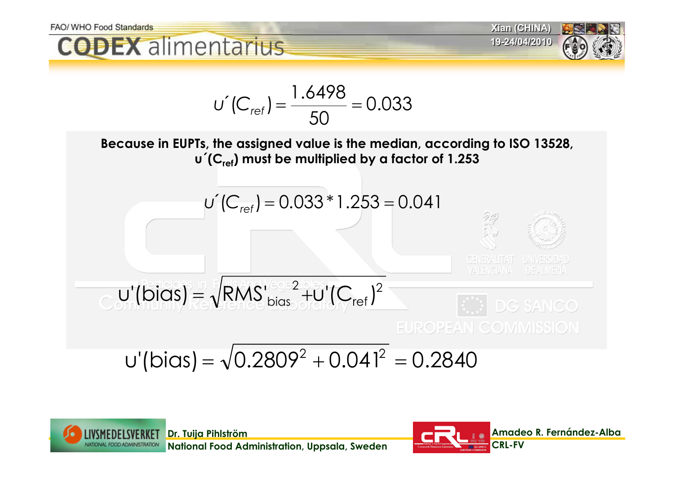



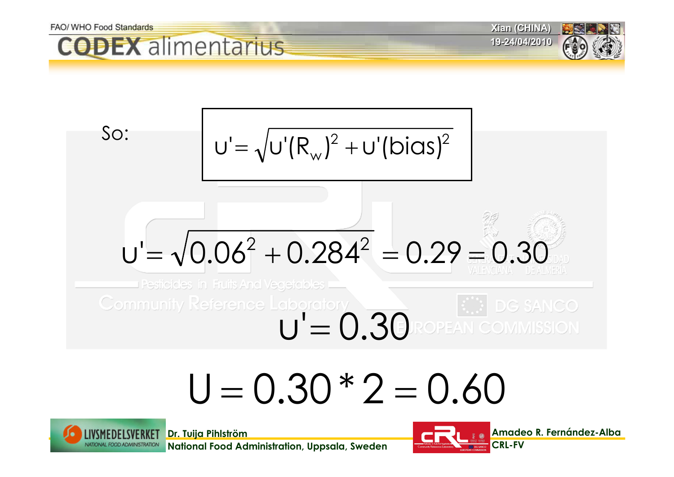

# $U = 0.30 * 2 = 0.60$



**National Food Administration, Uppsala, Sweden**

**Dr. Tuija Pihlström**

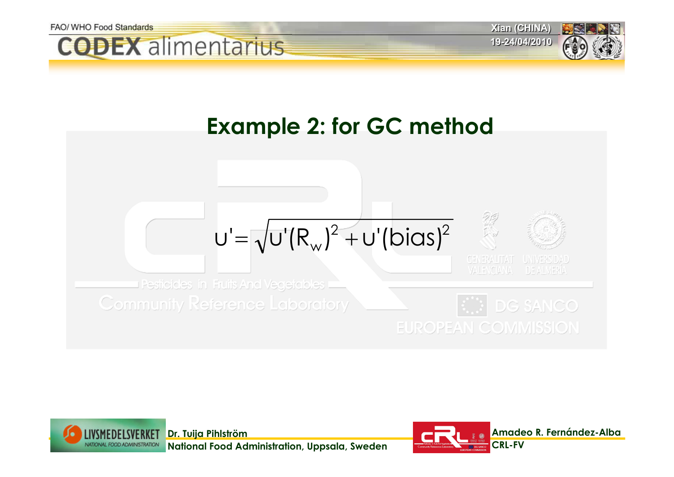



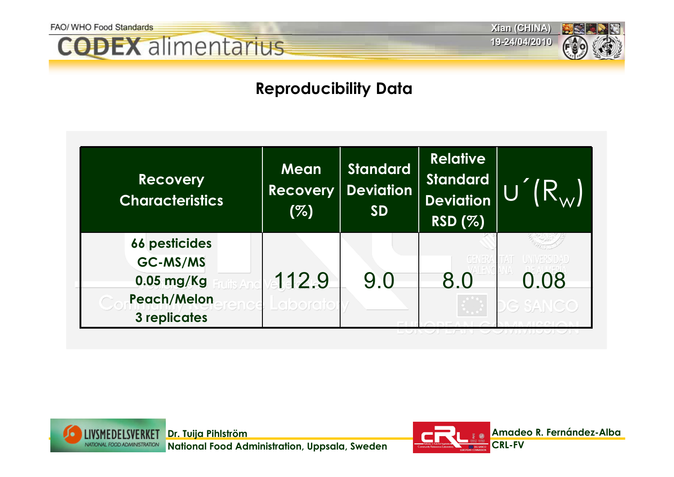## **CODEX** alimentarius

**Xian (CHINA) Xian (CHINA) 19-24/04/2010 19-24/04/2010**

### **Reproducibility Data**

| <b>Recovery</b><br><b>Characteristics</b>                                              | Mean<br>Recovery<br>(%) | <b>Standard</b><br><b>Deviation</b><br><b>SD</b> | <b>Relative</b><br><b>Standard</b><br><b>Deviation</b><br><b>RSD (%)</b> |      |
|----------------------------------------------------------------------------------------|-------------------------|--------------------------------------------------|--------------------------------------------------------------------------|------|
| <b>66 pesticides</b><br>GC-MS/MS<br>$0.05$ mg/Kg<br><b>Peach/Melon</b><br>3 replicates | 112.9<br>ence Laborato  | 9.0                                              | 8.0                                                                      | 0.08 |



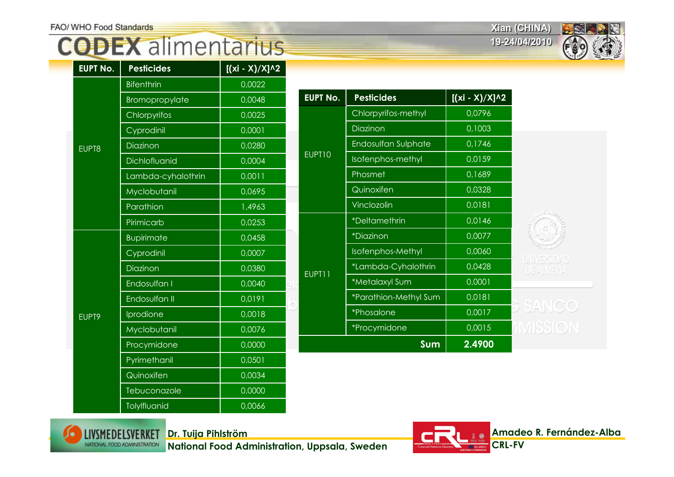**Xian (CHINA) Xian (CHINA)**

**19-24/04/2010 19-24/04/2010**



| <b>EUPT No.</b> | <b>Pesticides</b>  | $[(xi - X)/X]$ <sup>^2</sup> |  |
|-----------------|--------------------|------------------------------|--|
|                 | <b>Bifenthrin</b>  | 0,0022                       |  |
|                 | Bromopropylate     | 0,0048                       |  |
|                 | Chlorpyrifos       | 0,0025                       |  |
|                 | Cyprodinil         | 0,0001                       |  |
| EUPT8           | Diazinon           | 0,0280                       |  |
|                 | Dichlofluanid      | 0,0004                       |  |
|                 | Lambda-cyhalothrin | 0,0011                       |  |
|                 | Myclobutanil       | 0,0695                       |  |
|                 | Parathion          | 1,4963                       |  |
|                 | Pirimicarb         | 0,0253                       |  |
|                 | <b>Bupirimate</b>  | 0,0458                       |  |
|                 | Cyprodinil         | 0,0007                       |  |
|                 | Diazinon           | 0,0380                       |  |
|                 | Endosulfan I       | 0,0040                       |  |
|                 | Endosulfan II      | $0,0\overline{191}$          |  |
| EUPT9           | Iprodione          | 0,0018                       |  |
|                 | Myclobutanil       | 0,0076                       |  |
|                 | Procymidone        | 0,0000                       |  |
|                 | Pyrimethanil       | 0,0501                       |  |
|                 | Quinoxifen         | 0,0034                       |  |
|                 | Tebuconazole       | 0,0000                       |  |
|                 | Tolylfluanid       | 0,0066                       |  |

| <b>No.</b>      | <b>Pesticides</b>           | $[(xi - X)/X]$ <sup>^2</sup> |
|-----------------|-----------------------------|------------------------------|
|                 | Chlorpyrifos-methyl         | 0,0796                       |
|                 | Diazinon                    | 0,1003                       |
|                 | Endosulfan Sulphate         | 0,1746                       |
| $\overline{10}$ | Isofenphos-methyl           | 0,0159                       |
|                 | Phosmet                     | 0,1689                       |
|                 | Quinoxifen                  | 0,0328                       |
|                 | Vinclozolin                 | 0,0181                       |
|                 | <i><b>*Deltamethrin</b></i> | 0,0146                       |
|                 | <i><b>*Diazinon</b></i>     | 0,0077                       |
|                 | Isofenphos-Methyl           | 0,0060                       |
| ו ו             | *Lambda-Cyhalothrin         | 0,0428                       |
|                 | *Metalaxyl Sum              | 0,0001                       |
|                 | *Parathion-Methyl Sum       | 0,0181                       |
|                 | *Phosalone                  | 0,0017                       |
|                 | *Procymidone                | 0,0015                       |
|                 | Sum                         | 2.4900                       |



**Dr. Tuija Pihlström**

**National Food Administration, Uppsala, Sweden**

**EUPT** 

EUP<sup>-</sup>

EUP<sub>1</sub>

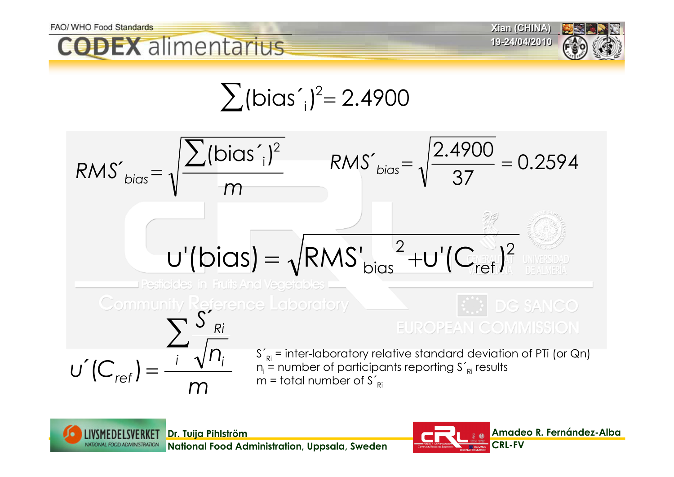

$$
\sum (bias'_i)^2 = 2.4900
$$





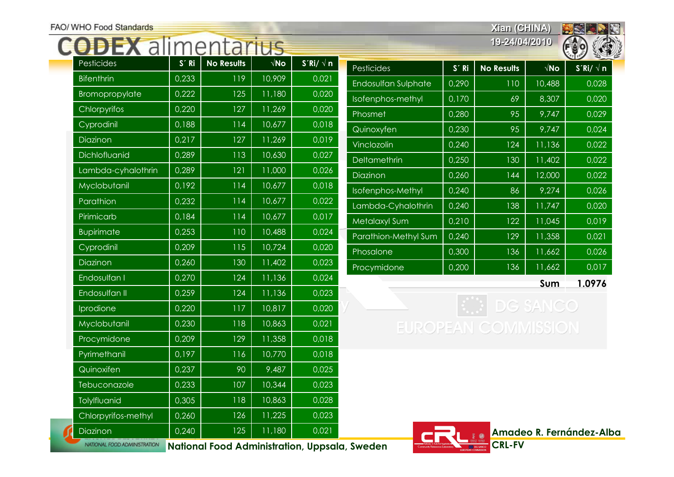### **CODEX alimentaring**

**Xian (CHINA) Xian (CHINA) 19-24/04/2010 19-24/04/2010**



| u i                 |       |                   | LU.                  |                 |
|---------------------|-------|-------------------|----------------------|-----------------|
| Pesticides          | S' Ri | <b>No Results</b> | $\sqrt{\mathsf{No}}$ | $S'Ri/\sqrt{n}$ |
| <b>Bifenthrin</b>   | 0,233 | 119               | 10,909               | 0,021           |
| Bromopropylate      | 0,222 | 125               | 11,180               | 0,020           |
| Chlorpyrifos        | 0,220 | 127               | 11,269               | 0,020           |
| Cyprodinil          | 0,188 | 114               | 10,677               | 0,018           |
| Diazinon            | 0,217 | 127               | 11,269               | 0,019           |
| Dichlofluanid       | 0,289 | 113               | 10,630               | 0,027           |
| Lambda-cyhalothrin  | 0,289 | 121               | 11,000               | 0,026           |
| Myclobutanil        | 0,192 | 114               | 10,677               | 0,018           |
| Parathion           | 0,232 | 114               | 10,677               | 0,022           |
| Pirimicarb          | 0,184 | 114               | 10,677               | 0,017           |
| <b>Bupirimate</b>   | 0,253 | 110               | 10,488               | 0,024           |
| Cyprodinil          | 0,209 | 115               | 10,724               | 0,020           |
| <b>Diazinon</b>     | 0,260 | 130               | 11,402               | 0,023           |
| Endosulfan I        | 0,270 | 124               | 11,136               | 0,024           |
| Endosulfan II       | 0,259 | 124               | 11,136               | 0,023           |
| <b>Iprodione</b>    | 0,220 | 117               | 10,817               | 0,020           |
| Myclobutanil        | 0,230 | 118               | 10,863               | 0,021           |
| Procymidone         | 0,209 | 129               | 11,358               | 0,018           |
| Pyrimethanil        | 0,197 | 116               | 10,770               | 0,018           |
| Quinoxifen          | 0,237 | 90                | 9,487                | 0,025           |
| Tebuconazole        | 0,233 | 107               | 10,344               | 0,023           |
| Tolylfluanid        | 0,305 | 118               | 10,863               | 0,028           |
| Chlorpyrifos-methyl | 0,260 | 126               | 11,225               | 0,023           |
| Diazinon            | 0,240 | 125               | 11,180               | 0,021           |

| Pesticides           | $S'$ Ri | <b>No Results</b> | $\sqrt{\mathsf{No}}$ | $S'Ri/\sqrt{n}$ |
|----------------------|---------|-------------------|----------------------|-----------------|
| Endosulfan Sulphate  | 0,290   | 110               | 10,488               | 0,028           |
| Isofenphos-methyl    | 0,170   | 69                | 8,307                | 0,020           |
| Phosmet              | 0,280   | 95                | $\sqrt{9,747}$       | 0,029           |
| Quinoxyfen           | 0,230   | 95                | 9,747                | 0,024           |
| Vinclozolin          | 0,240   | 124               | 11,136               | 0,022           |
| Deltamethrin         | 0,250   | 130               | 11,402               | 0,022           |
| Diazinon             | 0,260   | 144               | 12,000               | 0,022           |
| Isofenphos-Methyl    | 0,240   | 86                | 9,274                | 0,026           |
| Lambda-Cyhalothrin   | 0,240   | 138               | 11,747               | 0,020           |
| Metalaxyl Sum        | 0,210   | 122               | 11,045               | 0,019           |
| Parathion-Methyl Sum | 0,240   | 129               | 11,358               | 0,021           |
| Phosalone            | 0,300   | 136               | 11,662               | 0,026           |
| Procymidone          | 0,200   | 136               | 11,662               | 0,017           |
|                      |         |                   | Sum                  | 1.0976          |

 $|$   $\bullet$  DG SANCO **EUROPEAN COMMISSION** 



**National Food Administration, Uppsala, Sweden** NATIONAL FOOD ADMINISTRATION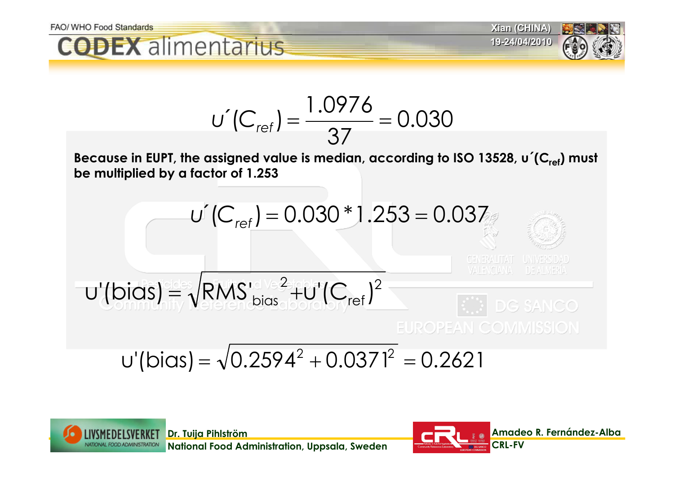



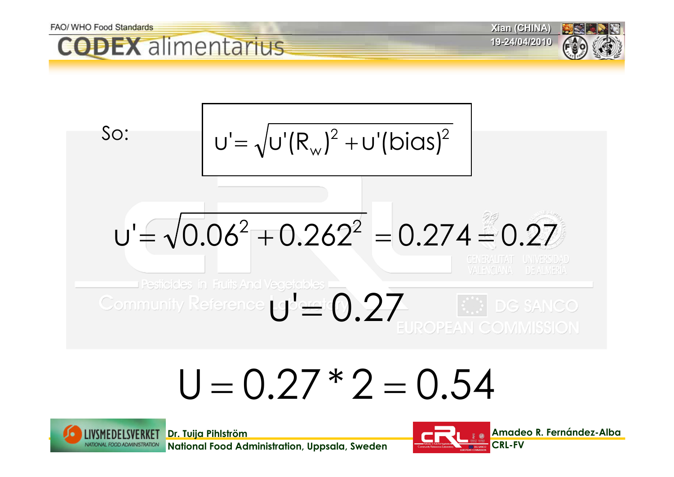

# $U = 0.27 * 2 = 0.54$



**National Food Administration, Uppsala, Sweden**

**Dr. Tuija Pihlström**

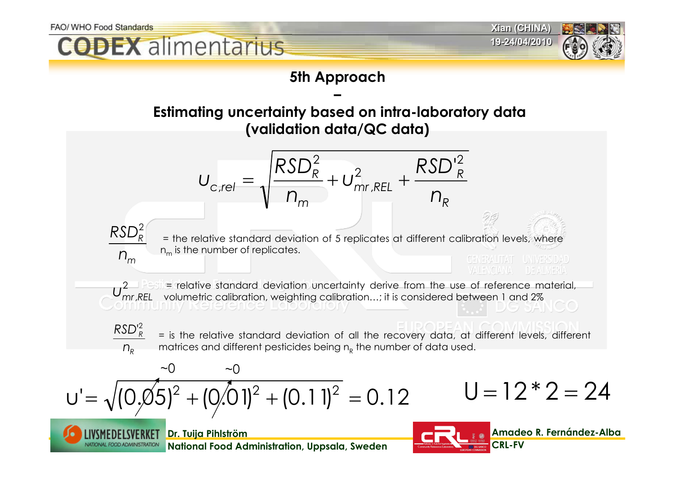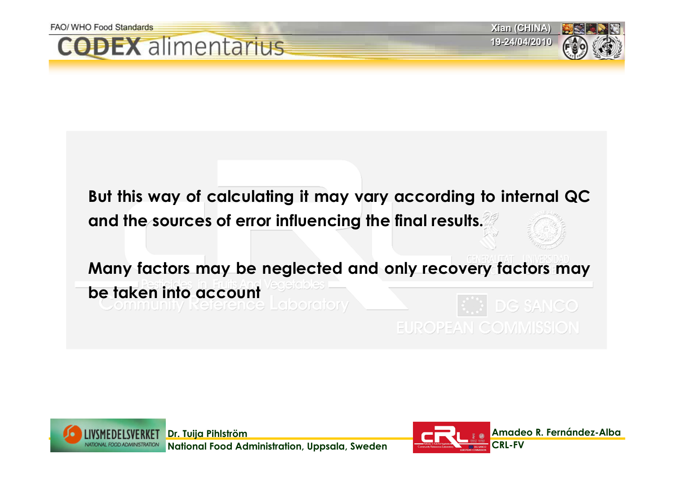**But this way of calculating it may vary according to internal QC and the sources of error influencing the final results.** 

**Many factors may be neglected and only recovery factors may be taken into account** DG SANCO **EUROPEAN COMMISSION** 

**Dr. Tuija Pihlström National Food Administration, Uppsala, Sweden**



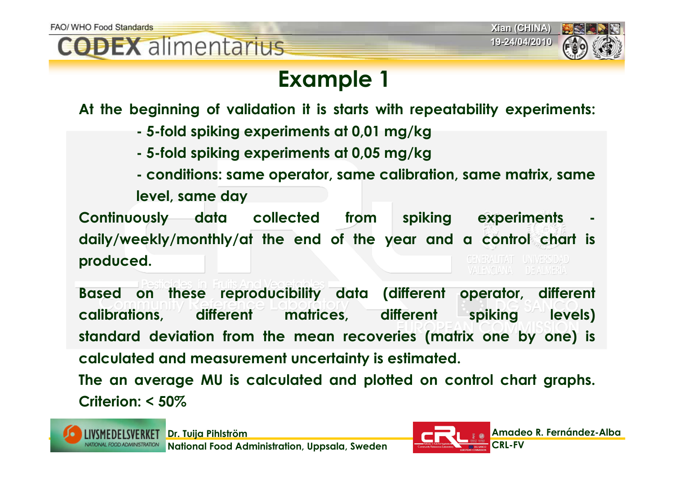



### **Example 1**

**At the beginning of validation it is starts with repeatability experiments:**

- **- 5-fold spiking experiments at 0,01 mg/kg**
- **- 5-fold spiking experiments at 0,05 mg/kg**
- **- conditions: same operator, same calibration, same matrix, same**

**level, same day**

Continuously data collected from spiking experiments **daily/weekly/monthly/at the end of the year and a control chart is produced.** GENERALITAT UNIVERSIDAD VALENCIANA DE ALMERIA

**Based on these reproducibility data (different operator, different calibrations, different matrices, different spiking levels) standard deviation from the mean recoveries (matrix one by one) is calculated and measurement uncertainty is estimated.**

**The an average MU is calculated and plotted on control chart graphs. Criterion: < 50%**

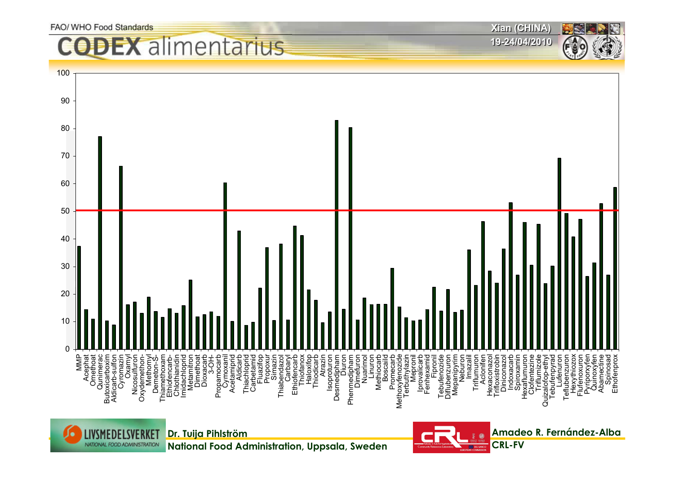### alimentarius





**National Food Administration, Uppsala, Sweden**



**Xian (CHINA) Xian (CHINA) 19-24/04/2010 19-24/04/2010**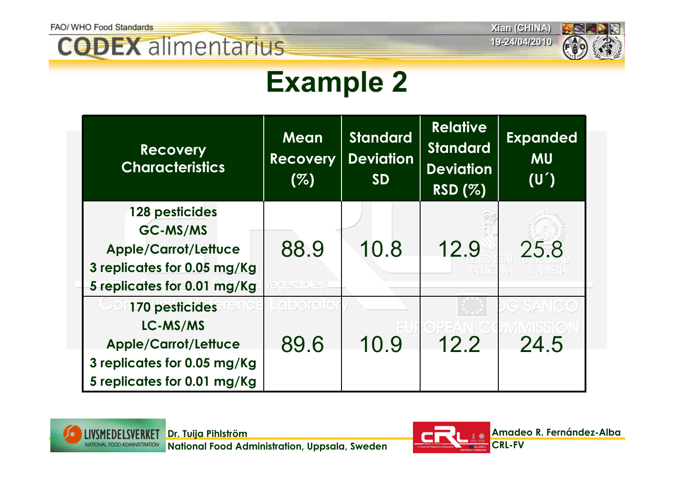**Xian (CHINA) Xian (CHINA)**



# **Example 2**

| <b>Recovery</b><br><b>Characteristics</b>                                                 | Mean<br><b>Recovery</b><br>(%) | <b>Standard</b><br><b>Deviation</b><br><b>SD</b> | <b>Relative</b><br><b>Standard</b><br><b>Deviation</b><br>RSD (%) | <b>Expanded</b><br><b>MU</b><br>(U') |
|-------------------------------------------------------------------------------------------|--------------------------------|--------------------------------------------------|-------------------------------------------------------------------|--------------------------------------|
| 128 pesticides                                                                            |                                |                                                  |                                                                   |                                      |
| GC-MS/MS<br><b>Apple/Carrot/Lettuce</b><br>3 replicates for 0.05 mg/Kg                    | 88.9                           | 10.8                                             | 12.9                                                              | 25.8<br>DE ALMERIA                   |
| 5 replicates for 0.01 mg/Kg                                                               | ederables                      |                                                  |                                                                   |                                      |
| 170 pesticides<br>LC-MS/MS                                                                | <u>aloorara</u>                |                                                  |                                                                   | DG SANCO                             |
| <b>Apple/Carrot/Lettuce</b><br>3 replicates for 0.05 mg/Kg<br>5 replicates for 0.01 mg/Kg | 89.6                           | 10.9                                             | 12.2                                                              | 24.5                                 |



**National Food Administration, Uppsala, Sweden**

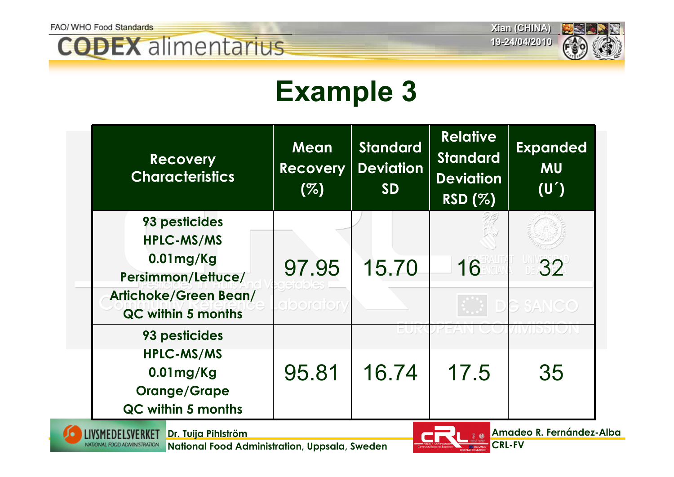





# **Example 3**

| <b>Recovery</b><br><b>Characteristics</b>   | <b>Mean</b><br><b>Recovery</b><br>(%) | <b>Standard</b><br><b>Deviation</b><br><b>SD</b> | <b>Relative</b><br><b>Standard</b><br><b>Deviation</b><br><b>RSD (%)</b> | <b>Expanded</b><br><b>MU</b><br>(U') |
|---------------------------------------------|---------------------------------------|--------------------------------------------------|--------------------------------------------------------------------------|--------------------------------------|
| 93 pesticides                               |                                       |                                                  |                                                                          |                                      |
| <b>HPLC-MS/MS</b>                           |                                       |                                                  |                                                                          |                                      |
| $0.01$ mg/Kg<br>Persimmon/Lettuce/          | 97.95                                 | 15.70                                            | 16                                                                       | 32                                   |
| Artichoke/Green Bean/<br>QC within 5 months | aborator.                             |                                                  |                                                                          | G SANCO                              |
| 93 pesticides                               |                                       |                                                  |                                                                          |                                      |
| <b>HPLC-MS/MS</b>                           |                                       |                                                  |                                                                          |                                      |
| $0.01$ mg/Kg                                | 95.81                                 | 16.74                                            | 17.5                                                                     | 35                                   |
| <b>Orange/Grape</b>                         |                                       |                                                  |                                                                          |                                      |
| <b>QC within 5 months</b>                   |                                       |                                                  |                                                                          |                                      |



**Dr. Tuija Pihlström**

**National Food Administration, Uppsala, Sweden**

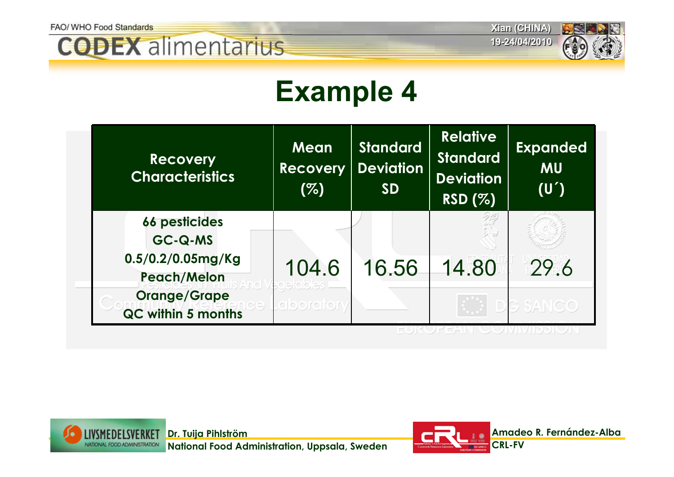





# **Example 4**

| <b>Recovery</b><br><b>Characteristics</b>                                     | Mean<br><b>Recovery</b><br>(%) | <b>Standard</b><br><b>Deviation</b><br><b>SD</b> | <b>Relative</b><br><b>Standard</b><br><b>Deviation</b><br><b>RSD (%)</b> | <b>Expanded</b><br><b>MU</b><br>(U') |
|-------------------------------------------------------------------------------|--------------------------------|--------------------------------------------------|--------------------------------------------------------------------------|--------------------------------------|
| <b>66 pesticides</b><br>GC-Q-MS<br>$0.5/0.2/0.05$ mg/Kg<br><b>Peach/Melon</b> | 104.6                          | 16.56                                            | 14.80                                                                    | 29.6                                 |
| <b>Orange/Grape</b><br>QC within 5 months                                     | 피식[0] 이 그                      |                                                  |                                                                          | G SANCO                              |